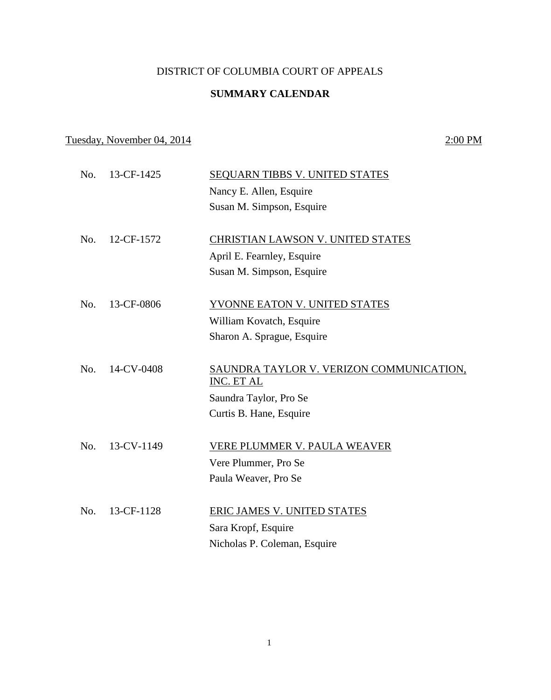### DISTRICT OF COLUMBIA COURT OF APPEALS

### **SUMMARY CALENDAR**

# Tuesday, November 04, 2014 2:00 PM

| No. | 13-CF-1425 | <b>SEQUARN TIBBS V. UNITED STATES</b>                  |
|-----|------------|--------------------------------------------------------|
|     |            | Nancy E. Allen, Esquire                                |
|     |            | Susan M. Simpson, Esquire                              |
|     |            |                                                        |
| No. | 12-CF-1572 | CHRISTIAN LAWSON V. UNITED STATES                      |
|     |            | April E. Fearnley, Esquire                             |
|     |            | Susan M. Simpson, Esquire                              |
|     |            |                                                        |
| No. | 13-CF-0806 | YVONNE EATON V. UNITED STATES                          |
|     |            | William Kovatch, Esquire                               |
|     |            | Sharon A. Sprague, Esquire                             |
|     |            |                                                        |
| No. | 14-CV-0408 | SAUNDRA TAYLOR V. VERIZON COMMUNICATION,<br>INC. ET AL |
|     |            | Saundra Taylor, Pro Se                                 |
|     |            | Curtis B. Hane, Esquire                                |
|     |            |                                                        |
| No. | 13-CV-1149 | <b>VERE PLUMMER V. PAULA WEAVER</b>                    |
|     |            | Vere Plummer, Pro Se                                   |
|     |            | Paula Weaver, Pro Se                                   |
|     | 13-CF-1128 |                                                        |
| No. |            | ERIC JAMES V. UNITED STATES                            |
|     |            | Sara Kropf, Esquire                                    |
|     |            | Nicholas P. Coleman, Esquire                           |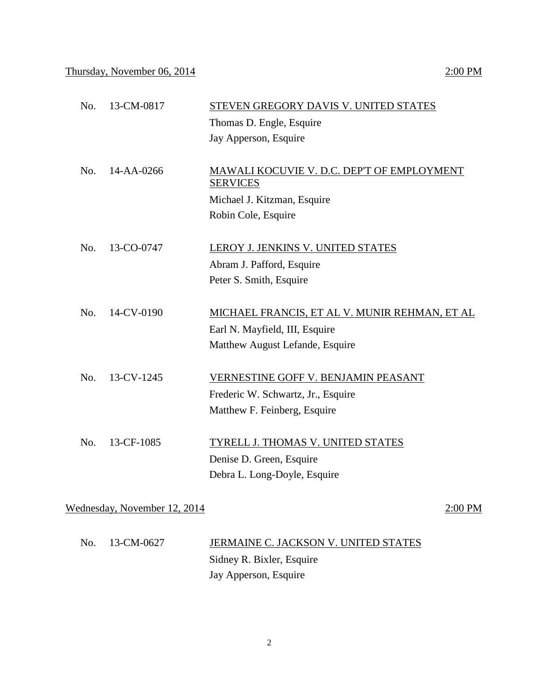| No. | 13-CM-0817 | STEVEN GREGORY DAVIS V. UNITED STATES                         |
|-----|------------|---------------------------------------------------------------|
|     |            | Thomas D. Engle, Esquire                                      |
|     |            | Jay Apperson, Esquire                                         |
|     |            |                                                               |
| No. | 14-AA-0266 | MAWALI KOCUVIE V. D.C. DEP'T OF EMPLOYMENT<br><b>SERVICES</b> |
|     |            | Michael J. Kitzman, Esquire                                   |
|     |            | Robin Cole, Esquire                                           |
|     |            |                                                               |
| No. | 13-CO-0747 | LEROY J. JENKINS V. UNITED STATES                             |
|     |            | Abram J. Pafford, Esquire                                     |
|     |            | Peter S. Smith, Esquire                                       |
| No. | 14-CV-0190 |                                                               |
|     |            | MICHAEL FRANCIS, ET AL V. MUNIR REHMAN, ET AL                 |
|     |            | Earl N. Mayfield, III, Esquire                                |
|     |            | Matthew August Lefande, Esquire                               |
| No. | 13-CV-1245 | VERNESTINE GOFF V. BENJAMIN PEASANT                           |
|     |            | Frederic W. Schwartz, Jr., Esquire                            |
|     |            | Matthew F. Feinberg, Esquire                                  |
|     |            |                                                               |
| No. | 13-CF-1085 | TYRELL J. THOMAS V. UNITED STATES                             |
|     |            | Denise D. Green, Esquire                                      |
|     |            | Debra L. Long-Doyle, Esquire                                  |
|     |            |                                                               |
|     |            |                                                               |

Wednesday, November 12, 2014 2:00 PM

| No. 13-CM-0627 | JERMAINE C. JACKSON V. UNITED STATES |
|----------------|--------------------------------------|
|                | Sidney R. Bixler, Esquire            |
|                | Jay Apperson, Esquire                |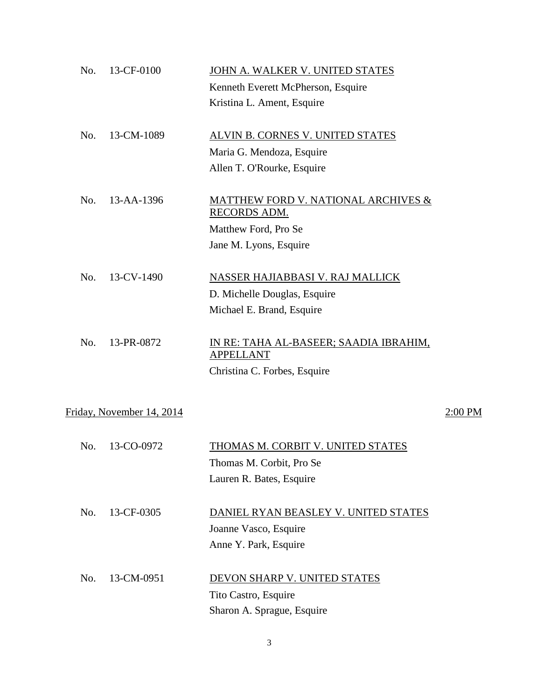| No. | 13-CF-0100                | JOHN A. WALKER V. UNITED STATES                                       |           |
|-----|---------------------------|-----------------------------------------------------------------------|-----------|
|     |                           | Kenneth Everett McPherson, Esquire                                    |           |
|     |                           | Kristina L. Ament, Esquire                                            |           |
| No. | 13-CM-1089                | ALVIN B. CORNES V. UNITED STATES                                      |           |
|     |                           | Maria G. Mendoza, Esquire                                             |           |
|     |                           | Allen T. O'Rourke, Esquire                                            |           |
| No. | 13-AA-1396                | <b>MATTHEW FORD V. NATIONAL ARCHIVES &amp;</b><br><b>RECORDS ADM.</b> |           |
|     |                           | Matthew Ford, Pro Se                                                  |           |
|     |                           | Jane M. Lyons, Esquire                                                |           |
| No. | 13-CV-1490                | NASSER HAJIABBASI V. RAJ MALLICK                                      |           |
|     |                           | D. Michelle Douglas, Esquire                                          |           |
|     |                           | Michael E. Brand, Esquire                                             |           |
|     |                           |                                                                       |           |
| No. | 13-PR-0872                | IN RE: TAHA AL-BASEER; SAADIA IBRAHIM,<br><b>APPELLANT</b>            |           |
|     |                           | Christina C. Forbes, Esquire                                          |           |
|     |                           |                                                                       |           |
|     | Friday, November 14, 2014 |                                                                       | $2:00$ PM |
|     |                           |                                                                       |           |
| No. | 13-CO-0972                | THOMAS M. CORBIT V. UNITED STATES                                     |           |
|     |                           | Thomas M. Corbit, Pro Se                                              |           |
|     |                           | Lauren R. Bates, Esquire                                              |           |
| No. | 13-CF-0305                | DANIEL RYAN BEASLEY V. UNITED STATES                                  |           |
|     |                           | Joanne Vasco, Esquire                                                 |           |
|     |                           | Anne Y. Park, Esquire                                                 |           |
|     |                           |                                                                       |           |
| No. | 13-CM-0951                | DEVON SHARP V. UNITED STATES                                          |           |
|     |                           | Tito Castro, Esquire                                                  |           |
|     |                           | Sharon A. Sprague, Esquire                                            |           |
|     |                           |                                                                       |           |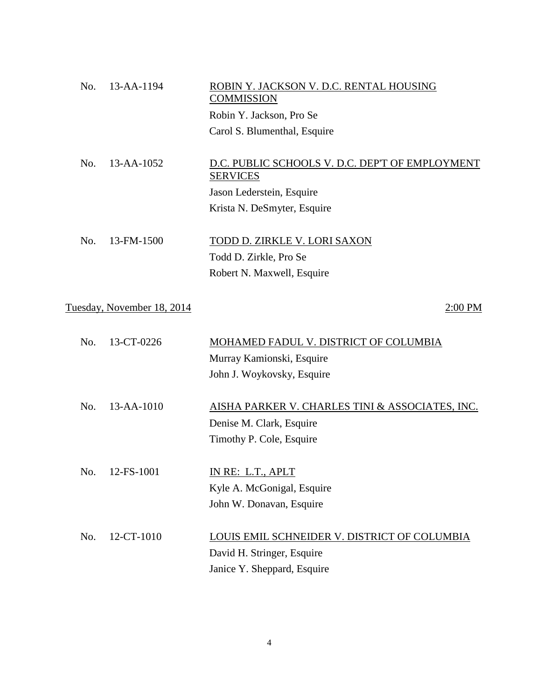| No. | 13-AA-1194                 | ROBIN Y. JACKSON V. D.C. RENTAL HOUSING<br><b>COMMISSION</b>       |
|-----|----------------------------|--------------------------------------------------------------------|
|     |                            | Robin Y. Jackson, Pro Se                                           |
|     |                            | Carol S. Blumenthal, Esquire                                       |
|     |                            |                                                                    |
| No. | 13-AA-1052                 | D.C. PUBLIC SCHOOLS V. D.C. DEP'T OF EMPLOYMENT<br><b>SERVICES</b> |
|     |                            | Jason Lederstein, Esquire                                          |
|     |                            | Krista N. DeSmyter, Esquire                                        |
|     |                            |                                                                    |
| No. | 13-FM-1500                 | TODD D. ZIRKLE V. LORI SAXON                                       |
|     |                            | Todd D. Zirkle, Pro Se                                             |
|     |                            | Robert N. Maxwell, Esquire                                         |
|     |                            |                                                                    |
|     | Tuesday, November 18, 2014 | 2:00 PM                                                            |
|     |                            |                                                                    |
| No. | 13-CT-0226                 | MOHAMED FADUL V. DISTRICT OF COLUMBIA                              |
|     |                            | Murray Kamionski, Esquire                                          |
|     |                            | John J. Woykovsky, Esquire                                         |
|     |                            |                                                                    |
| No. | $13 - AA - 1010$           | AISHA PARKER V. CHARLES TINI & ASSOCIATES, INC.                    |
|     |                            | Denise M. Clark, Esquire                                           |
|     |                            | Timothy P. Cole, Esquire                                           |

No. 12-FS-1001 **IN RE: L.T., APLT** Kyle A. McGonigal, Esquire John W. Donavan, Esquire

| No. $12-CT-1010$ | LOUIS EMIL SCHNEIDER V. DISTRICT OF COLUMBIA |
|------------------|----------------------------------------------|
|                  | David H. Stringer, Esquire                   |
|                  | Janice Y. Sheppard, Esquire                  |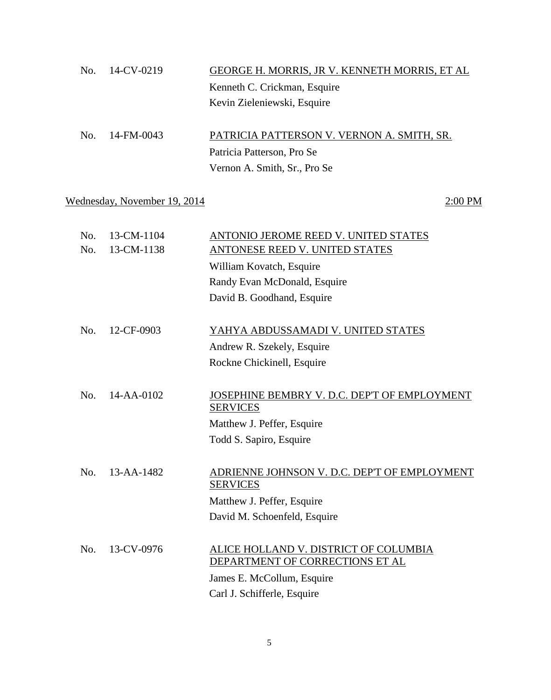|     | $No. \quad 14$ -CV-0219 | GEORGE H. MORRIS, JR V. KENNETH MORRIS, ET AL |
|-----|-------------------------|-----------------------------------------------|
|     |                         | Kenneth C. Crickman, Esquire                  |
|     |                         | Kevin Zieleniewski, Esquire                   |
|     |                         |                                               |
| No. | 14-FM-0043              | PATRICIA PATTERSON V. VERNON A. SMITH, SR.    |

Patricia Patterson, Pro Se Vernon A. Smith, Sr., Pro Se

# Wednesday, November 19, 2014 2:00 PM

| No. |            | ANTONIO JEROME REED V. UNITED STATES                                     |
|-----|------------|--------------------------------------------------------------------------|
| No. | 13-CM-1138 | ANTONESE REED V. UNITED STATES                                           |
|     |            | William Kovatch, Esquire                                                 |
|     |            | Randy Evan McDonald, Esquire                                             |
|     |            | David B. Goodhand, Esquire                                               |
|     |            |                                                                          |
| No. | 12-CF-0903 | YAHYA ABDUSSAMADI V. UNITED STATES                                       |
|     |            | Andrew R. Szekely, Esquire                                               |
|     |            | Rockne Chickinell, Esquire                                               |
|     |            |                                                                          |
| No. | 14-AA-0102 | JOSEPHINE BEMBRY V. D.C. DEP'T OF EMPLOYMENT<br><b>SERVICES</b>          |
|     |            | Matthew J. Peffer, Esquire                                               |
|     |            | Todd S. Sapiro, Esquire                                                  |
|     |            |                                                                          |
| No. | 13-AA-1482 | ADRIENNE JOHNSON V. D.C. DEP'T OF EMPLOYMENT<br><b>SERVICES</b>          |
|     |            | Matthew J. Peffer, Esquire                                               |
|     |            | David M. Schoenfeld, Esquire                                             |
|     |            |                                                                          |
| No. | 13-CV-0976 | ALICE HOLLAND V. DISTRICT OF COLUMBIA<br>DEPARTMENT OF CORRECTIONS ET AL |
|     |            | James E. McCollum, Esquire                                               |
|     |            | Carl J. Schifferle, Esquire                                              |
|     |            | 13-CM-1104                                                               |